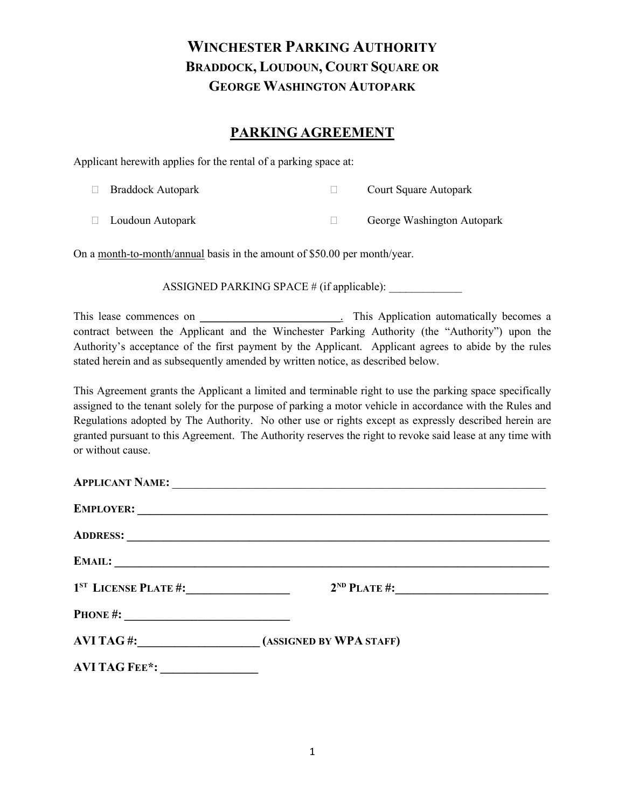### **PARKING AGREEMENT**

Applicant herewith applies for the rental of a parking space at:

| $\Box$ Braddock Autopark | <b>Court Square Autopark</b> |
|--------------------------|------------------------------|
|                          |                              |

Loudoun Autopark George Washington Autopark

On a month-to-month/annual basis in the amount of \$50.00 per month/year.

ASSIGNED PARKING SPACE  $#$  (if applicable):

This lease commences on \_\_\_\_\_\_\_\_\_\_\_\_\_\_\_\_\_\_\_\_\_\_\_\_\_. This Application automatically becomes a contract between the Applicant and the Winchester Parking Authority (the "Authority") upon the Authority's acceptance of the first payment by the Applicant. Applicant agrees to abide by the rules stated herein and as subsequently amended by written notice, as described below.

This Agreement grants the Applicant a limited and terminable right to use the parking space specifically assigned to the tenant solely for the purpose of parking a motor vehicle in accordance with the Rules and Regulations adopted by The Authority. No other use or rights except as expressly described herein are granted pursuant to this Agreement. The Authority reserves the right to revoke said lease at any time with or without cause.

|                                  | APPLICANT NAME:                   |  |
|----------------------------------|-----------------------------------|--|
|                                  |                                   |  |
|                                  |                                   |  |
| EMAIL:                           |                                   |  |
| 1 <sup>st</sup> LICENSE PLATE #: | $2^{ND}$ PLATE #:                 |  |
|                                  |                                   |  |
|                                  | AVI TAG#: (ASSIGNED BY WPA STAFF) |  |
| AVI TAG FEE <sup>*</sup> :       |                                   |  |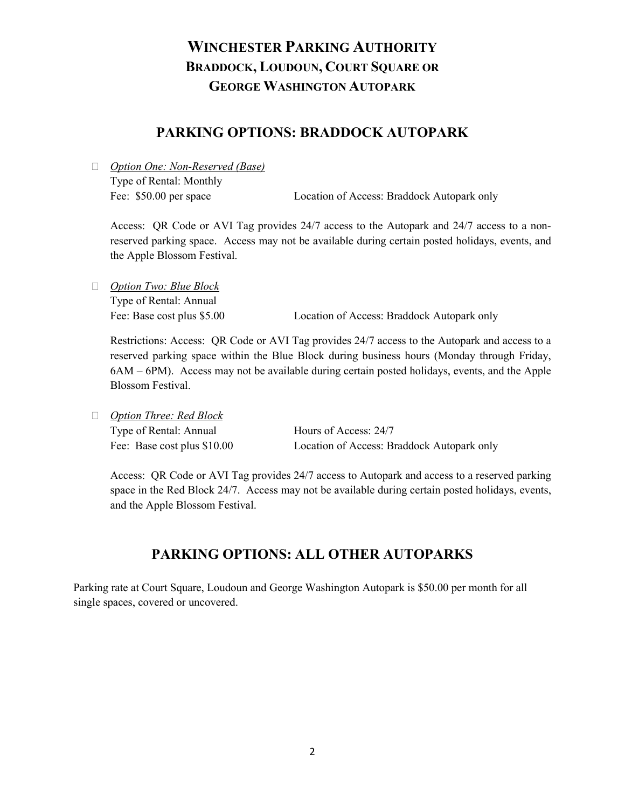### **PARKING OPTIONS: BRADDOCK AUTOPARK**

 *Option One: Non-Reserved (Base)* Type of Rental: Monthly

Fee: \$50.00 per space Location of Access: Braddock Autopark only

Access: QR Code or AVI Tag provides 24/7 access to the Autopark and 24/7 access to a nonreserved parking space. Access may not be available during certain posted holidays, events, and the Apple Blossom Festival.

 *Option Two: Blue Block* Type of Rental: Annual

Fee: Base cost plus \$5.00 Location of Access: Braddock Autopark only

Restrictions: Access: QR Code or AVI Tag provides 24/7 access to the Autopark and access to a reserved parking space within the Blue Block during business hours (Monday through Friday, 6AM – 6PM). Access may not be available during certain posted holidays, events, and the Apple Blossom Festival.

*Option Three: Red Block*

Type of Rental: Annual Hours of Access: 24/7 Fee: Base cost plus \$10.00 Location of Access: Braddock Autopark only

Access: QR Code or AVI Tag provides 24/7 access to Autopark and access to a reserved parking space in the Red Block 24/7. Access may not be available during certain posted holidays, events, and the Apple Blossom Festival.

### **PARKING OPTIONS: ALL OTHER AUTOPARKS**

Parking rate at Court Square, Loudoun and George Washington Autopark is \$50.00 per month for all single spaces, covered or uncovered.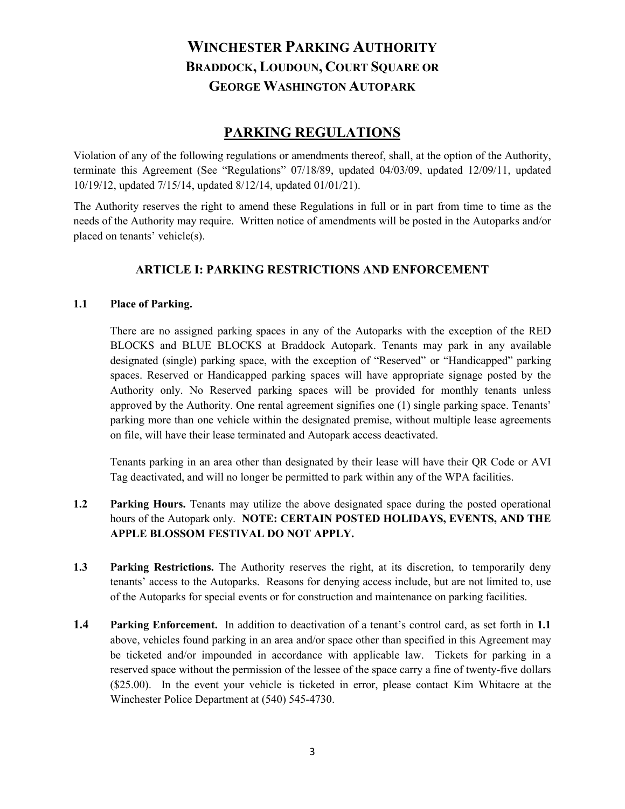### **PARKING REGULATIONS**

Violation of any of the following regulations or amendments thereof, shall, at the option of the Authority, terminate this Agreement (See "Regulations" 07/18/89, updated 04/03/09, updated 12/09/11, updated 10/19/12, updated 7/15/14, updated 8/12/14, updated 01/01/21).

The Authority reserves the right to amend these Regulations in full or in part from time to time as the needs of the Authority may require. Written notice of amendments will be posted in the Autoparks and/or placed on tenants' vehicle(s).

### **ARTICLE I: PARKING RESTRICTIONS AND ENFORCEMENT**

#### **1.1 Place of Parking.**

There are no assigned parking spaces in any of the Autoparks with the exception of the RED BLOCKS and BLUE BLOCKS at Braddock Autopark. Tenants may park in any available designated (single) parking space, with the exception of "Reserved" or "Handicapped" parking spaces. Reserved or Handicapped parking spaces will have appropriate signage posted by the Authority only. No Reserved parking spaces will be provided for monthly tenants unless approved by the Authority. One rental agreement signifies one (1) single parking space. Tenants' parking more than one vehicle within the designated premise, without multiple lease agreements on file, will have their lease terminated and Autopark access deactivated.

Tenants parking in an area other than designated by their lease will have their QR Code or AVI Tag deactivated, and will no longer be permitted to park within any of the WPA facilities.

- **1.2 Parking Hours.** Tenants may utilize the above designated space during the posted operational hours of the Autopark only. **NOTE: CERTAIN POSTED HOLIDAYS, EVENTS, AND THE APPLE BLOSSOM FESTIVAL DO NOT APPLY.**
- **1.3 Parking Restrictions.** The Authority reserves the right, at its discretion, to temporarily deny tenants' access to the Autoparks. Reasons for denying access include, but are not limited to, use of the Autoparks for special events or for construction and maintenance on parking facilities.
- **1.4 Parking Enforcement.** In addition to deactivation of a tenant's control card, as set forth in **1.1**  above, vehicles found parking in an area and/or space other than specified in this Agreement may be ticketed and/or impounded in accordance with applicable law. Tickets for parking in a reserved space without the permission of the lessee of the space carry a fine of twenty-five dollars (\$25.00). In the event your vehicle is ticketed in error, please contact Kim Whitacre at the Winchester Police Department at (540) 545-4730.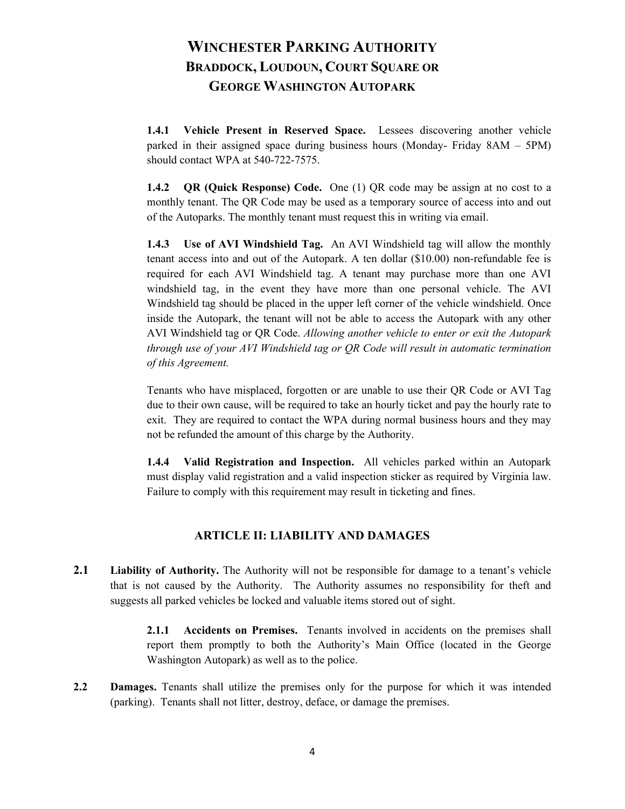**1.4.1 Vehicle Present in Reserved Space.** Lessees discovering another vehicle parked in their assigned space during business hours (Monday- Friday 8AM – 5PM) should contact WPA at 540-722-7575.

**1.4.2 QR (Quick Response) Code.** One (1) QR code may be assign at no cost to a monthly tenant. The QR Code may be used as a temporary source of access into and out of the Autoparks. The monthly tenant must request this in writing via email.

**1.4.3 Use of AVI Windshield Tag.** An AVI Windshield tag will allow the monthly tenant access into and out of the Autopark. A ten dollar (\$10.00) non-refundable fee is required for each AVI Windshield tag. A tenant may purchase more than one AVI windshield tag, in the event they have more than one personal vehicle. The AVI Windshield tag should be placed in the upper left corner of the vehicle windshield. Once inside the Autopark, the tenant will not be able to access the Autopark with any other AVI Windshield tag or QR Code. *Allowing another vehicle to enter or exit the Autopark through use of your AVI Windshield tag or QR Code will result in automatic termination of this Agreement.*

Tenants who have misplaced, forgotten or are unable to use their QR Code or AVI Tag due to their own cause, will be required to take an hourly ticket and pay the hourly rate to exit. They are required to contact the WPA during normal business hours and they may not be refunded the amount of this charge by the Authority.

**1.4.4 Valid Registration and Inspection.** All vehicles parked within an Autopark must display valid registration and a valid inspection sticker as required by Virginia law. Failure to comply with this requirement may result in ticketing and fines.

#### **ARTICLE II: LIABILITY AND DAMAGES**

**2.1 Liability of Authority.** The Authority will not be responsible for damage to a tenant's vehicle that is not caused by the Authority. The Authority assumes no responsibility for theft and suggests all parked vehicles be locked and valuable items stored out of sight.

> **2.1.1 Accidents on Premises.** Tenants involved in accidents on the premises shall report them promptly to both the Authority's Main Office (located in the George Washington Autopark) as well as to the police.

**2.2 Damages.** Tenants shall utilize the premises only for the purpose for which it was intended (parking). Tenants shall not litter, destroy, deface, or damage the premises.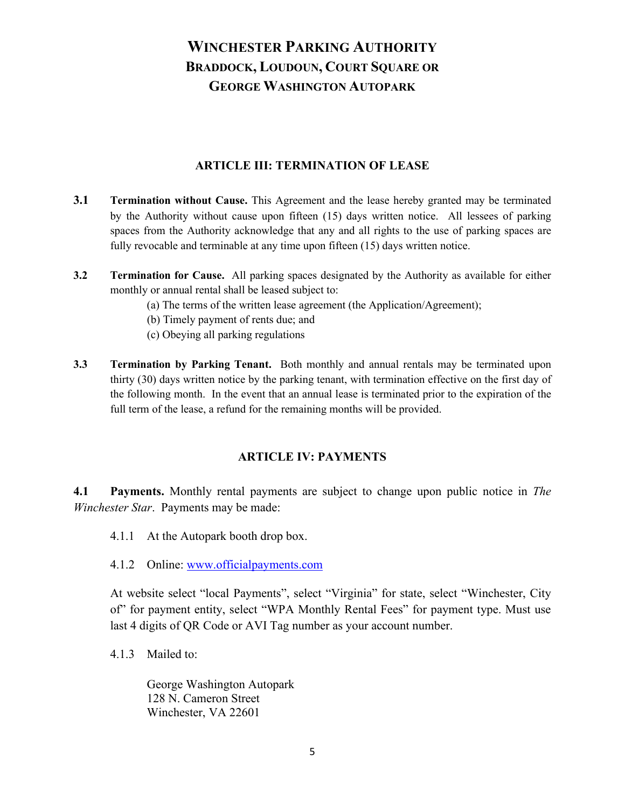#### **ARTICLE III: TERMINATION OF LEASE**

- **3.1 Termination without Cause.** This Agreement and the lease hereby granted may be terminated by the Authority without cause upon fifteen (15) days written notice. All lessees of parking spaces from the Authority acknowledge that any and all rights to the use of parking spaces are fully revocable and terminable at any time upon fifteen (15) days written notice.
- **3.2 Termination for Cause.** All parking spaces designated by the Authority as available for either monthly or annual rental shall be leased subject to:
	- (a) The terms of the written lease agreement (the Application/Agreement);
	- (b) Timely payment of rents due; and
	- (c) Obeying all parking regulations
- **3.3 Termination by Parking Tenant.** Both monthly and annual rentals may be terminated upon thirty (30) days written notice by the parking tenant, with termination effective on the first day of the following month. In the event that an annual lease is terminated prior to the expiration of the full term of the lease, a refund for the remaining months will be provided.

#### **ARTICLE IV: PAYMENTS**

**4.1 Payments.** Monthly rental payments are subject to change upon public notice in *The Winchester Star*. Payments may be made:

- 4.1.1 At the Autopark booth drop box.
- 4.1.2 Online: [www.officialpayments.com](http://www.officialpayments.com/)

At website select "local Payments", select "Virginia" for state, select "Winchester, City of" for payment entity, select "WPA Monthly Rental Fees" for payment type. Must use last 4 digits of QR Code or AVI Tag number as your account number.

4.1.3 Mailed to:

George Washington Autopark 128 N. Cameron Street Winchester, VA 22601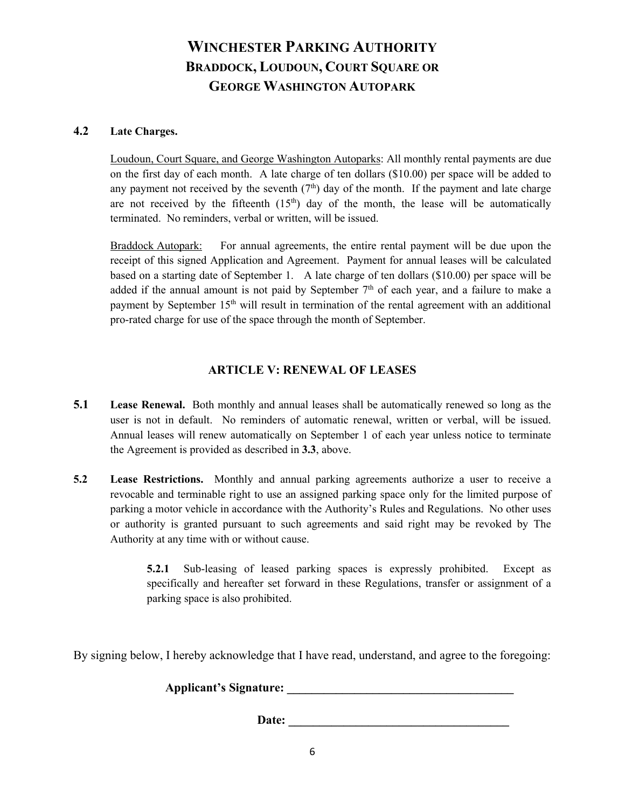#### **4.2 Late Charges.**

Loudoun, Court Square, and George Washington Autoparks: All monthly rental payments are due on the first day of each month. A late charge of ten dollars (\$10.00) per space will be added to any payment not received by the seventh  $(7<sup>th</sup>)$  day of the month. If the payment and late charge are not received by the fifteenth  $(15<sup>th</sup>)$  day of the month, the lease will be automatically terminated. No reminders, verbal or written, will be issued.

Braddock Autopark: For annual agreements, the entire rental payment will be due upon the receipt of this signed Application and Agreement. Payment for annual leases will be calculated based on a starting date of September 1. A late charge of ten dollars (\$10.00) per space will be added if the annual amount is not paid by September  $7<sup>th</sup>$  of each year, and a failure to make a payment by September 15<sup>th</sup> will result in termination of the rental agreement with an additional pro-rated charge for use of the space through the month of September.

#### **ARTICLE V: RENEWAL OF LEASES**

- **5.1 Lease Renewal.** Both monthly and annual leases shall be automatically renewed so long as the user is not in default. No reminders of automatic renewal, written or verbal, will be issued. Annual leases will renew automatically on September 1 of each year unless notice to terminate the Agreement is provided as described in **3.3**, above.
- **5.2 Lease Restrictions.** Monthly and annual parking agreements authorize a user to receive a revocable and terminable right to use an assigned parking space only for the limited purpose of parking a motor vehicle in accordance with the Authority's Rules and Regulations. No other uses or authority is granted pursuant to such agreements and said right may be revoked by The Authority at any time with or without cause.

**5.2.1** Sub-leasing of leased parking spaces is expressly prohibited. Except as specifically and hereafter set forward in these Regulations, transfer or assignment of a parking space is also prohibited.

By signing below, I hereby acknowledge that I have read, understand, and agree to the foregoing:

**Applicant's Signature: \_\_\_\_\_\_\_\_\_\_\_\_\_\_\_\_\_\_\_\_\_\_\_\_\_\_\_\_\_\_\_\_\_\_\_\_\_**

Date: